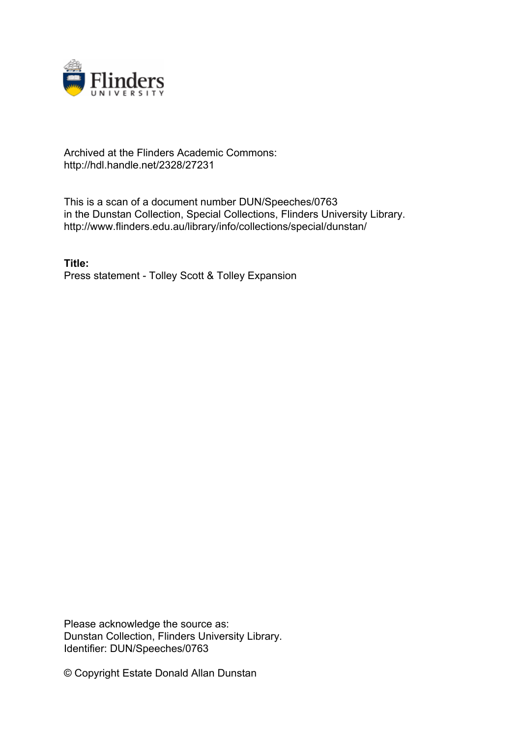

## Archived at the Flinders Academic Commons: http://hdl.handle.net/2328/27231

This is a scan of a document number DUN/Speeches/0763 in the Dunstan Collection, Special Collections, Flinders University Library. http://www.flinders.edu.au/library/info/collections/special/dunstan/

**Title:** Press statement - Tolley Scott & Tolley Expansion

Please acknowledge the source as: Dunstan Collection, Flinders University Library. Identifier: DUN/Speeches/0763

© Copyright Estate Donald Allan Dunstan